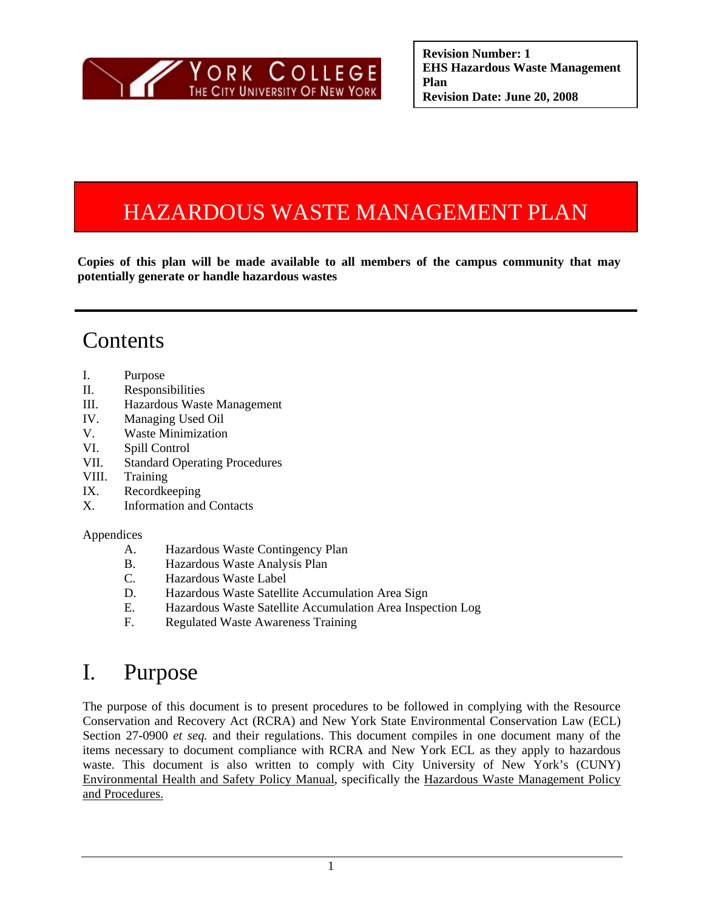

# HAZARDOUS WASTE MANAGEMENT PLAN

**Copies of this plan will be made available to all members of the campus community that may potentially generate or handle hazardous wastes** 

## Contents

- I. Purpose
- II. Responsibilities
- III. Hazardous Waste Management
- IV. Managing Used Oil
- V. Waste Minimization
- VI. Spill Control
- VII. Standard Operating Procedures
- VIII. Training
- IX. Recordkeeping
- X. Information and Contacts

#### Appendices

- A. Hazardous Waste Contingency Plan
- B. Hazardous Waste Analysis Plan
- C. Hazardous Waste Label
- D. Hazardous Waste Satellite Accumulation Area Sign
- E. Hazardous Waste Satellite Accumulation Area Inspection Log
- F. Regulated Waste Awareness Training

## I. Purpose

 waste. This document is also written to comply with City University of New York's (CUNY) The purpose of this document is to present procedures to be followed in complying with the Resource Conservation and Recovery Act (RCRA) and New York State Environmental Conservation Law (ECL) Section 27-0900 *et seq.* and their regulations. This document compiles in one document many of the items necessary to document compliance with RCRA and New York ECL as they apply to hazardous Environmental Health and Safety Policy Manual, specifically the Hazardous Waste Management Policy and Procedures.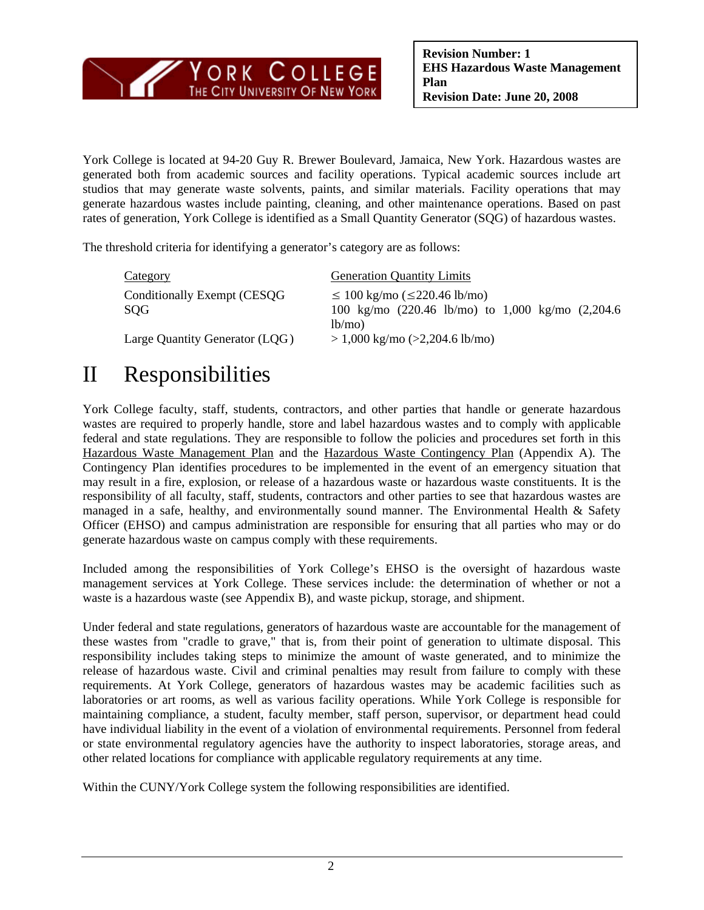

York College is located at 94-20 Guy R. Brewer Boulevard, Jamaica, New York. Hazardous wastes are generated both from academic sources and facility operations. Typical academic sources include art studios that may generate waste solvents, paints, and similar materials. Facility operations that may generate hazardous wastes include painting, cleaning, and other maintenance operations. Based on past rates of generation, York College is identified as a Small Quantity Generator (SQG) of hazardous wastes.

The threshold criteria for identifying a generator's category are as follows:

| <b>Category</b>                     | <b>Generation Quantity Limits</b>                                                                                                  |
|-------------------------------------|------------------------------------------------------------------------------------------------------------------------------------|
| Conditionally Exempt (CESQG)<br>SQG | $\leq 100$ kg/mo ( $\leq$ 220.46 lb/mo)<br>100 kg/mo $(220.46 \text{ lb/mol})$ to 1,000 kg/mo $(2,204.6 \text{ lb/mol})$<br>lb/mol |
| Large Quantity Generator (LQG)      | $> 1,000$ kg/mo ( $>2,204.6$ lb/mo)                                                                                                |

# II Responsibilities

York College faculty, staff, students, contractors, and other parties that handle or generate hazardous wastes are required to properly handle, store and label hazardous wastes and to comply with applicable federal and state regulations. They are responsible to follow the policies and procedures set forth in this Hazardous Waste Management Plan and the Hazardous Waste Contingency Plan (Appendix A). The Contingency Plan identifies procedures to be implemented in the event of an emergency situation that may result in a fire, explosion, or release of a hazardous waste or hazardous waste constituents. It is the responsibility of all faculty, staff, students, contractors and other parties to see that hazardous wastes are managed in a safe, healthy, and environmentally sound manner. The Environmental Health & Safety Officer (EHSO) and campus administration are responsible for ensuring that all parties who may or do generate hazardous waste on campus comply with these requirements.

Included among the responsibilities of York College's EHSO is the oversight of hazardous waste management services at York College. These services include: the determination of whether or not a waste is a hazardous waste (see Appendix B), and waste pickup, storage, and shipment.

Under federal and state regulations, generators of hazardous waste are accountable for the management of these wastes from "cradle to grave," that is, from their point of generation to ultimate disposal. This responsibility includes taking steps to minimize the amount of waste generated, and to minimize the release of hazardous waste. Civil and criminal penalties may result from failure to comply with these requirements. At York College, generators of hazardous wastes may be academic facilities such as laboratories or art rooms, as well as various facility operations. While York College is responsible for maintaining compliance, a student, faculty member, staff person, supervisor, or department head could have individual liability in the event of a violation of environmental requirements. Personnel from federal or state environmental regulatory agencies have the authority to inspect laboratories, storage areas, and other related locations for compliance with applicable regulatory requirements at any time.

Within the CUNY/York College system the following responsibilities are identified.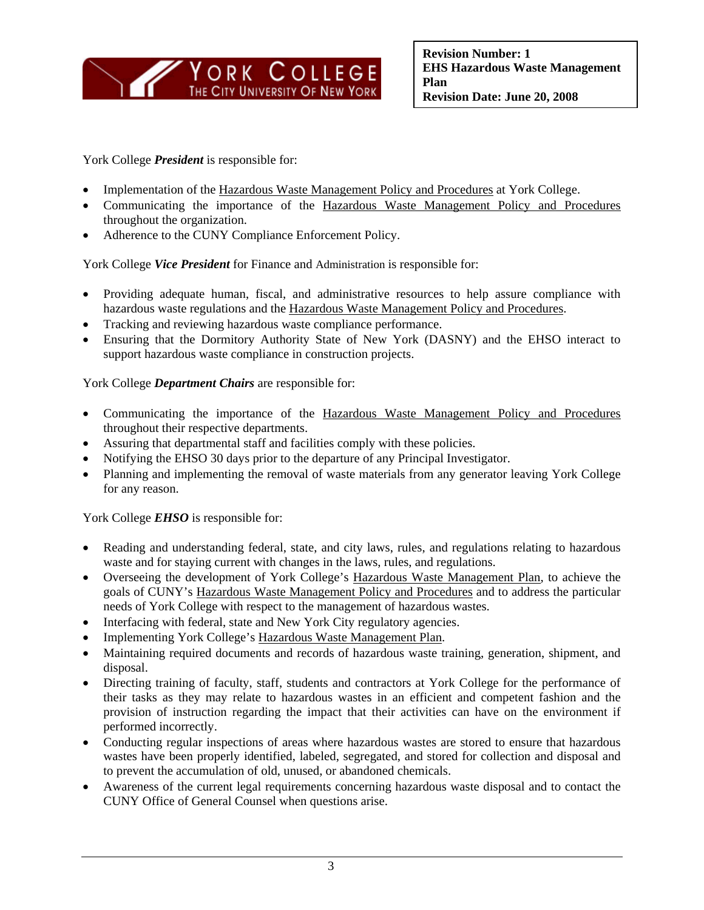

York College *President* is responsible for:

- Implementation of the Hazardous Waste Management Policy and Procedures at York College.
- Communicating the importance of the Hazardous Waste Management Policy and Procedures throughout the organization.
- Adherence to the CUNY Compliance Enforcement Policy.

York College *Vice President* for Finance and Administration is responsible for:

- Providing adequate human, fiscal, and administrative resources to help assure compliance with hazardous waste regulations and the Hazardous Waste Management Policy and Procedures.
- Tracking and reviewing hazardous waste compliance performance.
- Ensuring that the Dormitory Authority State of New York (DASNY) and the EHSO interact to support hazardous waste compliance in construction projects.

York College *Department Chairs* are responsible for:

- Communicating the importance of the Hazardous Waste Management Policy and Procedures throughout their respective departments.
- Assuring that departmental staff and facilities comply with these policies.
- Notifying the EHSO 30 days prior to the departure of any Principal Investigator.
- Planning and implementing the removal of waste materials from any generator leaving York College for any reason.

York College **EHSO** is responsible for:

- Reading and understanding federal, state, and city laws, rules, and regulations relating to hazardous waste and for staying current with changes in the laws, rules, and regulations.
- Overseeing the development of York College's Hazardous Waste Management Plan, to achieve the goals of CUNY's Hazardous Waste Management Policy and Procedures and to address the particular needs of York College with respect to the management of hazardous wastes.
- Interfacing with federal, state and New York City regulatory agencies.
- Implementing York College's Hazardous Waste Management Plan.
- Maintaining required documents and records of hazardous waste training, generation, shipment, and disposal.
- Directing training of faculty, staff, students and contractors at York College for the performance of their tasks as they may relate to hazardous wastes in an efficient and competent fashion and the provision of instruction regarding the impact that their activities can have on the environment if performed incorrectly.
- Conducting regular inspections of areas where hazardous wastes are stored to ensure that hazardous wastes have been properly identified, labeled, segregated, and stored for collection and disposal and to prevent the accumulation of old, unused, or abandoned chemicals.
- Awareness of the current legal requirements concerning hazardous waste disposal and to contact the CUNY Office of General Counsel when questions arise.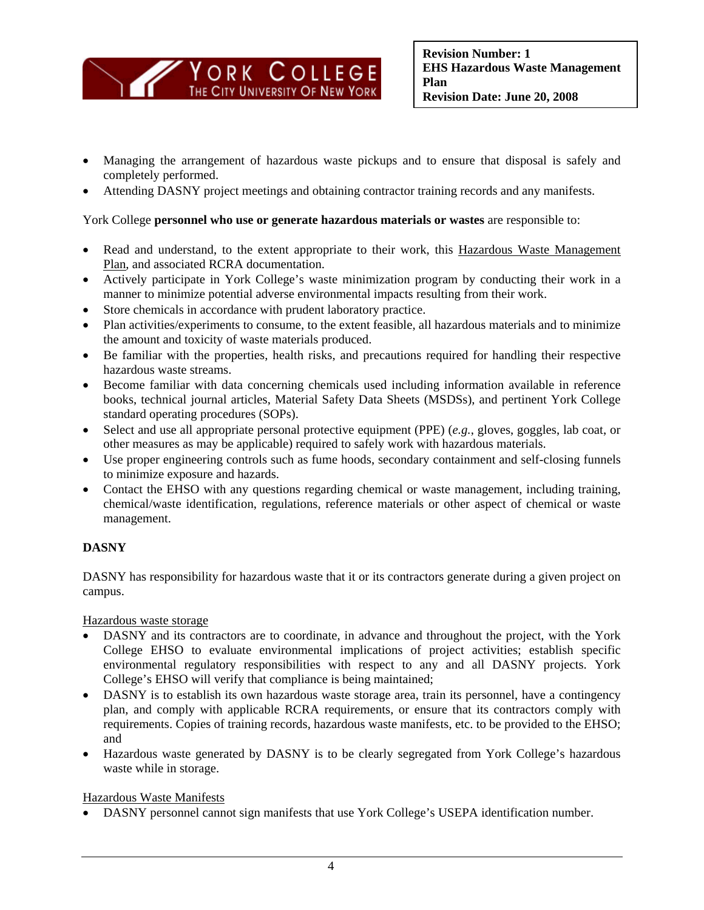

- Managing the arrangement of hazardous waste pickups and to ensure that disposal is safely and completely performed.
- Attending DASNY project meetings and obtaining contractor training records and any manifests.

#### York College **personnel who use or generate hazardous materials or wastes** are responsible to:

- Read and understand, to the extent appropriate to their work, this Hazardous Waste Management Plan, and associated RCRA documentation.
- Actively participate in York College's waste minimization program by conducting their work in a manner to minimize potential adverse environmental impacts resulting from their work.
- Store chemicals in accordance with prudent laboratory practice.
- Plan activities/experiments to consume, to the extent feasible, all hazardous materials and to minimize the amount and toxicity of waste materials produced.
- Be familiar with the properties, health risks, and precautions required for handling their respective hazardous waste streams.
- Become familiar with data concerning chemicals used including information available in reference books, technical journal articles, Material Safety Data Sheets (MSDSs), and pertinent York College standard operating procedures (SOPs).
- Select and use all appropriate personal protective equipment (PPE) (*e.g.*, gloves, goggles, lab coat, or other measures as may be applicable) required to safely work with hazardous materials.
- Use proper engineering controls such as fume hoods, secondary containment and self-closing funnels to minimize exposure and hazards.
- Contact the EHSO with any questions regarding chemical or waste management, including training, chemical/waste identification, regulations, reference materials or other aspect of chemical or waste management.

### **DASNY**

DASNY has responsibility for hazardous waste that it or its contractors generate during a given project on campus.

Hazardous waste storage

- DASNY and its contractors are to coordinate, in advance and throughout the project, with the York College EHSO to evaluate environmental implications of project activities; establish specific environmental regulatory responsibilities with respect to any and all DASNY projects. York College's EHSO will verify that compliance is being maintained;
- DASNY is to establish its own hazardous waste storage area, train its personnel, have a contingency plan, and comply with applicable RCRA requirements, or ensure that its contractors comply with requirements. Copies of training records, hazardous waste manifests, etc. to be provided to the EHSO; and
- Hazardous waste generated by DASNY is to be clearly segregated from York College's hazardous waste while in storage.

#### Hazardous Waste Manifests

• DASNY personnel cannot sign manifests that use York College's USEPA identification number.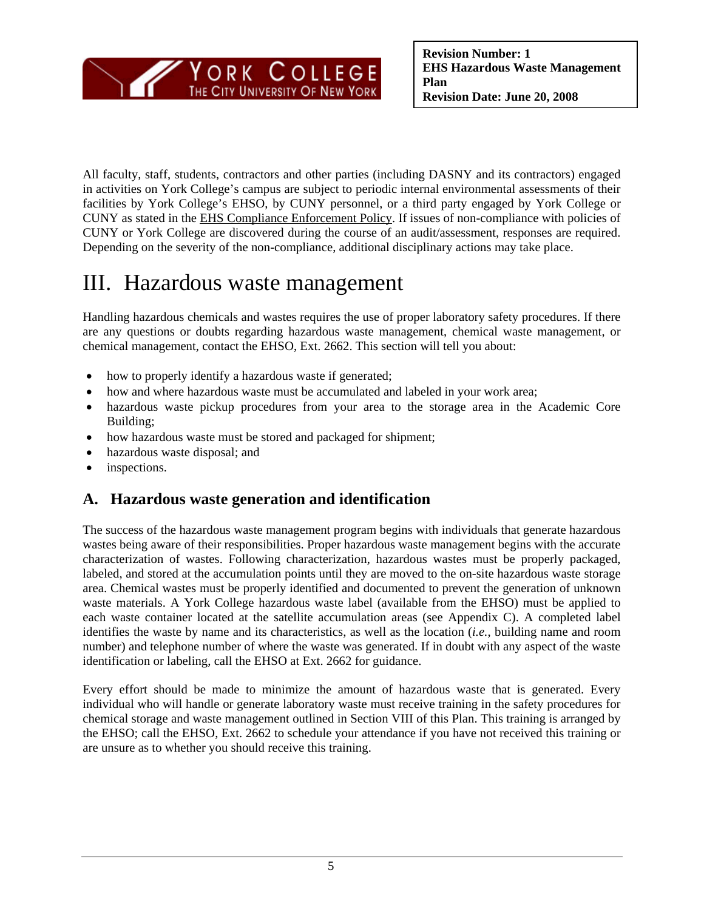

All faculty, staff, students, contractors and other parties (including DASNY and its contractors) engaged in activities on York College's campus are subject to periodic internal environmental assessments of their facilities by York College's EHSO, by CUNY personnel, or a third party engaged by York College or CUNY as stated in the EHS Compliance Enforcement Policy. If issues of non-compliance with policies of CUNY or York College are discovered during the course of an audit/assessment, responses are required. Depending on the severity of the non-compliance, additional disciplinary actions may take place.

## III. Hazardous waste management

Handling hazardous chemicals and wastes requires the use of proper laboratory safety procedures. If there are any questions or doubts regarding hazardous waste management, chemical waste management, or chemical management, contact the EHSO, Ext. 2662. This section will tell you about:

- how to properly identify a hazardous waste if generated;
- how and where hazardous waste must be accumulated and labeled in your work area;
- hazardous waste pickup procedures from your area to the storage area in the Academic Core Building;
- how hazardous waste must be stored and packaged for shipment;
- hazardous waste disposal; and
- inspections.

## **A. Hazardous waste generation and identification**

The success of the hazardous waste management program begins with individuals that generate hazardous wastes being aware of their responsibilities. Proper hazardous waste management begins with the accurate characterization of wastes. Following characterization, hazardous wastes must be properly packaged, labeled, and stored at the accumulation points until they are moved to the on-site hazardous waste storage area. Chemical wastes must be properly identified and documented to prevent the generation of unknown waste materials. A York College hazardous waste label (available from the EHSO) must be applied to each waste container located at the satellite accumulation areas (see Appendix C). A completed label identifies the waste by name and its characteristics, as well as the location (*i.e.*, building name and room number) and telephone number of where the waste was generated. If in doubt with any aspect of the waste identification or labeling, call the EHSO at Ext. 2662 for guidance.

Every effort should be made to minimize the amount of hazardous waste that is generated. Every individual who will handle or generate laboratory waste must receive training in the safety procedures for chemical storage and waste management outlined in Section VIII of this Plan. This training is arranged by the EHSO; call the EHSO, Ext. 2662 to schedule your attendance if you have not received this training or are unsure as to whether you should receive this training.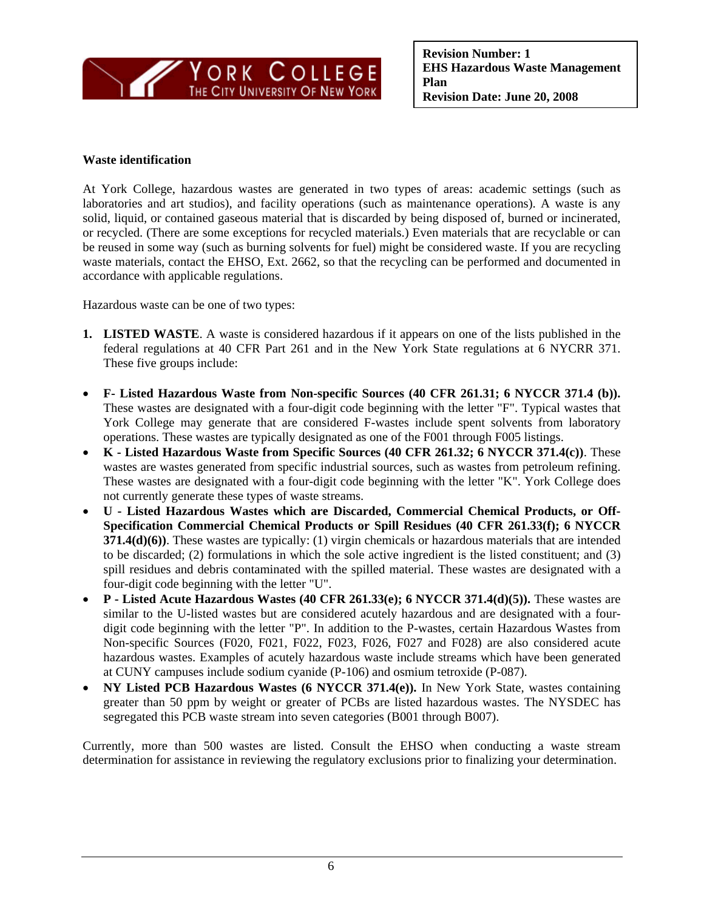

#### **Waste identification**

At York College, hazardous wastes are generated in two types of areas: academic settings (such as laboratories and art studios), and facility operations (such as maintenance operations). A waste is any solid, liquid, or contained gaseous material that is discarded by being disposed of, burned or incinerated, or recycled. (There are some exceptions for recycled materials.) Even materials that are recyclable or can be reused in some way (such as burning solvents for fuel) might be considered waste. If you are recycling waste materials, contact the EHSO, Ext. 2662, so that the recycling can be performed and documented in accordance with applicable regulations.

Hazardous waste can be one of two types:

- **1. LISTED WASTE**. A waste is considered hazardous if it appears on one of the lists published in the federal regulations at 40 CFR Part 261 and in the New York State regulations at 6 NYCRR 371. These five groups include:
- **F- Listed Hazardous Waste from Non-specific Sources (40 CFR 261.31; 6 NYCCR 371.4 (b)).**  These wastes are designated with a four-digit code beginning with the letter "F". Typical wastes that York College may generate that are considered F-wastes include spent solvents from laboratory operations. These wastes are typically designated as one of the F001 through F005 listings.
- **K Listed Hazardous Waste from Specific Sources (40 CFR 261.32; 6 NYCCR 371.4(c))**. These wastes are wastes generated from specific industrial sources, such as wastes from petroleum refining. These wastes are designated with a four-digit code beginning with the letter "K". York College does not currently generate these types of waste streams.
- **U Listed Hazardous Wastes which are Discarded, Commercial Chemical Products, or Off-Specification Commercial Chemical Products or Spill Residues (40 CFR 261.33(f); 6 NYCCR 371.4(d)(6))**. These wastes are typically: (1) virgin chemicals or hazardous materials that are intended to be discarded; (2) formulations in which the sole active ingredient is the listed constituent; and (3) spill residues and debris contaminated with the spilled material. These wastes are designated with a four-digit code beginning with the letter "U".
- **P Listed Acute Hazardous Wastes (40 CFR 261.33(e); 6 NYCCR 371.4(d)(5)).** These wastes are similar to the U-listed wastes but are considered acutely hazardous and are designated with a fourdigit code beginning with the letter "P". In addition to the P-wastes, certain Hazardous Wastes from Non-specific Sources (F020, F021, F022, F023, F026, F027 and F028) are also considered acute hazardous wastes. Examples of acutely hazardous waste include streams which have been generated at CUNY campuses include sodium cyanide (P-106) and osmium tetroxide (P-087).
- **NY Listed PCB Hazardous Wastes (6 NYCCR 371.4(e)).** In New York State, wastes containing greater than 50 ppm by weight or greater of PCBs are listed hazardous wastes. The NYSDEC has segregated this PCB waste stream into seven categories (B001 through B007).

Currently, more than 500 wastes are listed. Consult the EHSO when conducting a waste stream determination for assistance in reviewing the regulatory exclusions prior to finalizing your determination.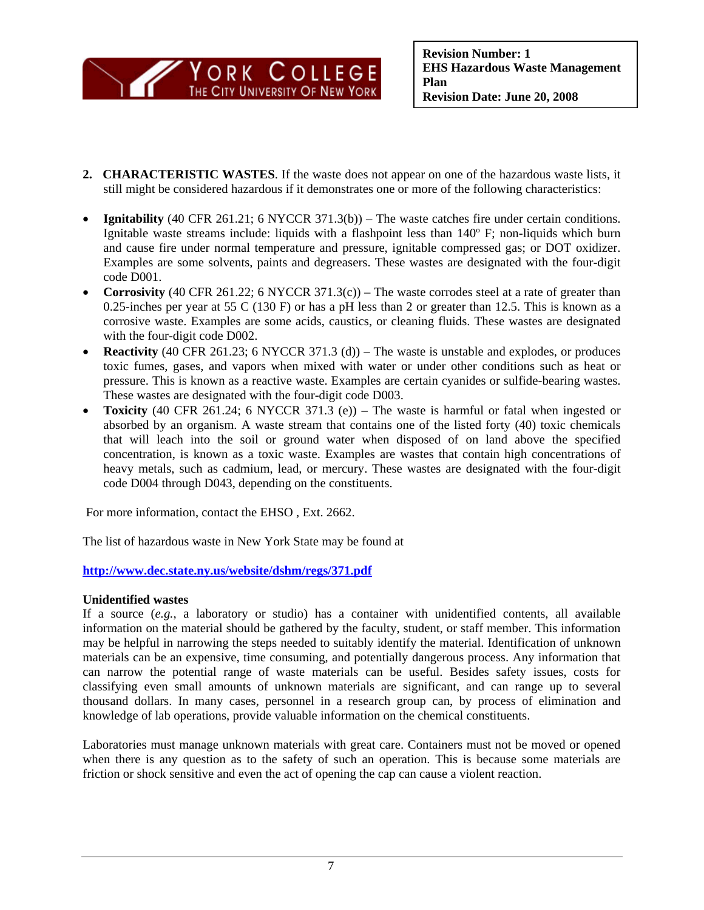

- **2. CHARACTERISTIC WASTES**. If the waste does not appear on one of the hazardous waste lists, it still might be considered hazardous if it demonstrates one or more of the following characteristics:
- **Ignitability** (40 CFR 261.21; 6 NYCCR 371.3(b)) The waste catches fire under certain conditions. Ignitable waste streams include: liquids with a flashpoint less than 140º F; non-liquids which burn and cause fire under normal temperature and pressure, ignitable compressed gas; or DOT oxidizer. Examples are some solvents, paints and degreasers. These wastes are designated with the four-digit code D001.
- **Corrosivity** (40 CFR 261.22; 6 NYCCR 371.3(c)) The waste corrodes steel at a rate of greater than 0.25-inches per year at 55 C (130 F) or has a pH less than 2 or greater than 12.5. This is known as a corrosive waste. Examples are some acids, caustics, or cleaning fluids. These wastes are designated with the four-digit code D002.
- **Reactivity** (40 CFR 261.23; 6 NYCCR 371.3 (d)) The waste is unstable and explodes, or produces toxic fumes, gases, and vapors when mixed with water or under other conditions such as heat or pressure. This is known as a reactive waste. Examples are certain cyanides or sulfide-bearing wastes. These wastes are designated with the four-digit code D003.
- **Toxicity** (40 CFR 261.24; 6 NYCCR 371.3 (e)) The waste is harmful or fatal when ingested or absorbed by an organism. A waste stream that contains one of the listed forty (40) toxic chemicals that will leach into the soil or ground water when disposed of on land above the specified concentration, is known as a toxic waste. Examples are wastes that contain high concentrations of heavy metals, such as cadmium, lead, or mercury. These wastes are designated with the four-digit code D004 through D043, depending on the constituents.

For more information, contact the EHSO , Ext. 2662.

The list of hazardous waste in New York State may be found at

**<http://www.dec.state.ny.us/website/dshm/regs/371.pdf>**

#### **Unidentified wastes**

If a source (*e.g.*, a laboratory or studio) has a container with unidentified contents, all available information on the material should be gathered by the faculty, student, or staff member. This information may be helpful in narrowing the steps needed to suitably identify the material. Identification of unknown materials can be an expensive, time consuming, and potentially dangerous process. Any information that can narrow the potential range of waste materials can be useful. Besides safety issues, costs for classifying even small amounts of unknown materials are significant, and can range up to several thousand dollars. In many cases, personnel in a research group can, by process of elimination and knowledge of lab operations, provide valuable information on the chemical constituents.

Laboratories must manage unknown materials with great care. Containers must not be moved or opened when there is any question as to the safety of such an operation. This is because some materials are friction or shock sensitive and even the act of opening the cap can cause a violent reaction.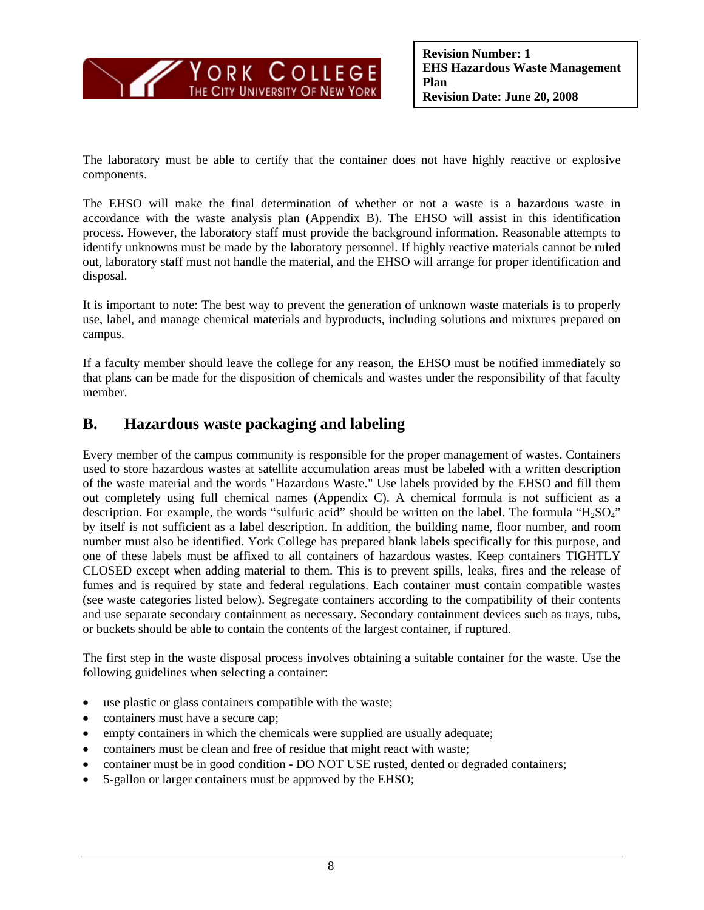

The laboratory must be able to certify that the container does not have highly reactive or explosive components.

The EHSO will make the final determination of whether or not a waste is a hazardous waste in accordance with the waste analysis plan (Appendix B). The EHSO will assist in this identification process. However, the laboratory staff must provide the background information. Reasonable attempts to identify unknowns must be made by the laboratory personnel. If highly reactive materials cannot be ruled out, laboratory staff must not handle the material, and the EHSO will arrange for proper identification and disposal.

It is important to note: The best way to prevent the generation of unknown waste materials is to properly use, label, and manage chemical materials and byproducts, including solutions and mixtures prepared on campus.

If a faculty member should leave the college for any reason, the EHSO must be notified immediately so that plans can be made for the disposition of chemicals and wastes under the responsibility of that faculty member.

### **B. Hazardous waste packaging and labeling**

Every member of the campus community is responsible for the proper management of wastes. Containers used to store hazardous wastes at satellite accumulation areas must be labeled with a written description of the waste material and the words "Hazardous Waste." Use labels provided by the EHSO and fill them out completely using full chemical names (Appendix C). A chemical formula is not sufficient as a description. For example, the words "sulfuric acid" should be written on the label. The formula "H<sub>2</sub>SO<sub>4</sub>" by itself is not sufficient as a label description. In addition, the building name, floor number, and room number must also be identified. York College has prepared blank labels specifically for this purpose, and one of these labels must be affixed to all containers of hazardous wastes. Keep containers TIGHTLY CLOSED except when adding material to them. This is to prevent spills, leaks, fires and the release of fumes and is required by state and federal regulations. Each container must contain compatible wastes (see waste categories listed below). Segregate containers according to the compatibility of their contents and use separate secondary containment as necessary. Secondary containment devices such as trays, tubs, or buckets should be able to contain the contents of the largest container, if ruptured.

The first step in the waste disposal process involves obtaining a suitable container for the waste. Use the following guidelines when selecting a container:

- use plastic or glass containers compatible with the waste;
- containers must have a secure cap;
- empty containers in which the chemicals were supplied are usually adequate;
- containers must be clean and free of residue that might react with waste;
- container must be in good condition DO NOT USE rusted, dented or degraded containers;
- 5-gallon or larger containers must be approved by the EHSO;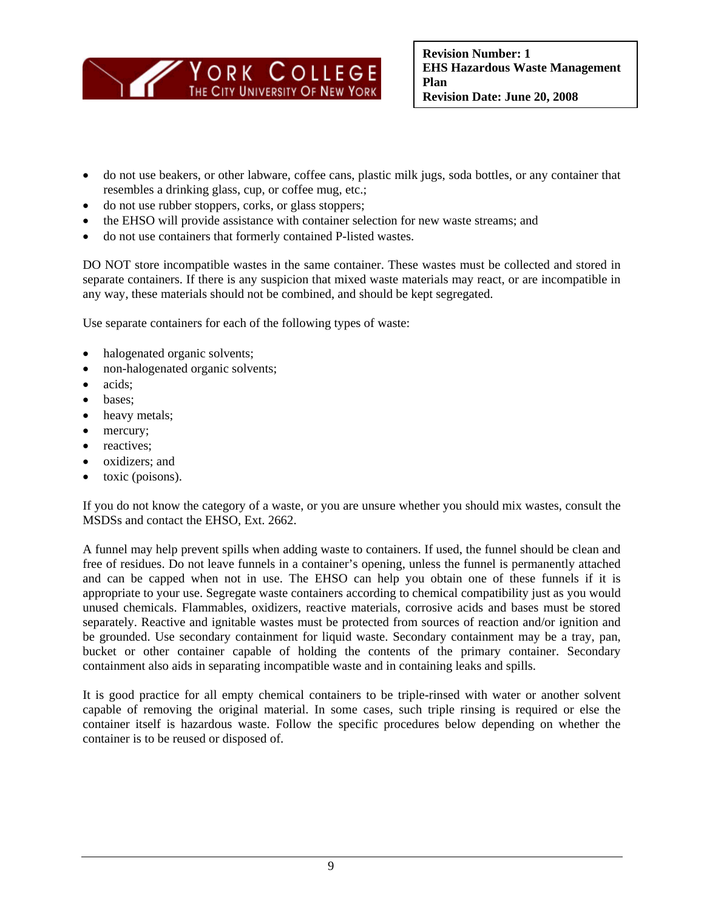

- do not use beakers, or other labware, coffee cans, plastic milk jugs, soda bottles, or any container that resembles a drinking glass, cup, or coffee mug, etc.;
- do not use rubber stoppers, corks, or glass stoppers;
- the EHSO will provide assistance with container selection for new waste streams; and
- do not use containers that formerly contained P-listed wastes.

DO NOT store incompatible wastes in the same container. These wastes must be collected and stored in separate containers. If there is any suspicion that mixed waste materials may react, or are incompatible in any way, these materials should not be combined, and should be kept segregated.

Use separate containers for each of the following types of waste:

- halogenated organic solvents;
- non-halogenated organic solvents;
- acids;
- bases;
- heavy metals;
- mercury;
- reactives:
- oxidizers; and
- toxic (poisons).

If you do not know the category of a waste, or you are unsure whether you should mix wastes, consult the MSDSs and contact the EHSO, Ext. 2662.

 unused chemicals. Flammables, oxidizers, reactive materials, corrosive acids and bases must be stored A funnel may help prevent spills when adding waste to containers. If used, the funnel should be clean and free of residues. Do not leave funnels in a container's opening, unless the funnel is permanently attached and can be capped when not in use. The EHSO can help you obtain one of these funnels if it is appropriate to your use. Segregate waste containers according to chemical compatibility just as you would separately. Reactive and ignitable wastes must be protected from sources of reaction and/or ignition and be grounded. Use secondary containment for liquid waste. Secondary containment may be a tray, pan, bucket or other container capable of holding the contents of the primary container. Secondary containment also aids in separating incompatible waste and in containing leaks and spills.

 container is to be reused or disposed of. It is good practice for all empty chemical containers to be triple-rinsed with water or another solvent capable of removing the original material. In some cases, such triple rinsing is required or else the container itself is hazardous waste. Follow the specific procedures below depending on whether the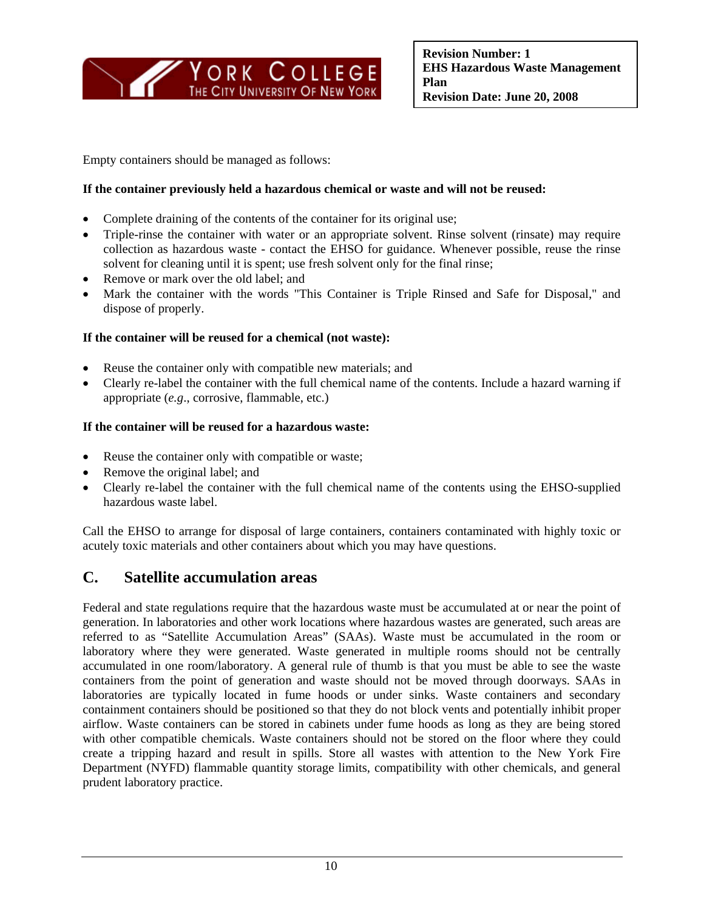

Empty containers should be managed as follows:

#### **If the container previously held a hazardous chemical or waste and will not be reused:**

- Complete draining of the contents of the container for its original use;
- Triple-rinse the container with water or an appropriate solvent. Rinse solvent (rinsate) may require collection as hazardous waste - contact the EHSO for guidance. Whenever possible, reuse the rinse solvent for cleaning until it is spent; use fresh solvent only for the final rinse;
- Remove or mark over the old label; and
- Mark the container with the words "This Container is Triple Rinsed and Safe for Disposal," and dispose of properly.

#### **If the container will be reused for a chemical (not waste):**

- Reuse the container only with compatible new materials; and
- Clearly re-label the container with the full chemical name of the contents. Include a hazard warning if appropriate (*e.g*., corrosive, flammable, etc.)

#### **If the container will be reused for a hazardous waste:**

- Reuse the container only with compatible or waste;
- Remove the original label; and
- Clearly re-label the container with the full chemical name of the contents using the EHSO-supplied hazardous waste label.

Call the EHSO to arrange for disposal of large containers, containers contaminated with highly toxic or acutely toxic materials and other containers about which you may have questions.

### **C. Satellite accumulation areas**

Federal and state regulations require that the hazardous waste must be accumulated at or near the point of generation. In laboratories and other work locations where hazardous wastes are generated, such areas are referred to as "Satellite Accumulation Areas" (SAAs). Waste must be accumulated in the room or laboratory where they were generated. Waste generated in multiple rooms should not be centrally accumulated in one room/laboratory. A general rule of thumb is that you must be able to see the waste containers from the point of generation and waste should not be moved through doorways. SAAs in laboratories are typically located in fume hoods or under sinks. Waste containers and secondary containment containers should be positioned so that they do not block vents and potentially inhibit proper airflow. Waste containers can be stored in cabinets under fume hoods as long as they are being stored with other compatible chemicals. Waste containers should not be stored on the floor where they could create a tripping hazard and result in spills. Store all wastes with attention to the New York Fire Department (NYFD) flammable quantity storage limits, compatibility with other chemicals, and general prudent laboratory practice.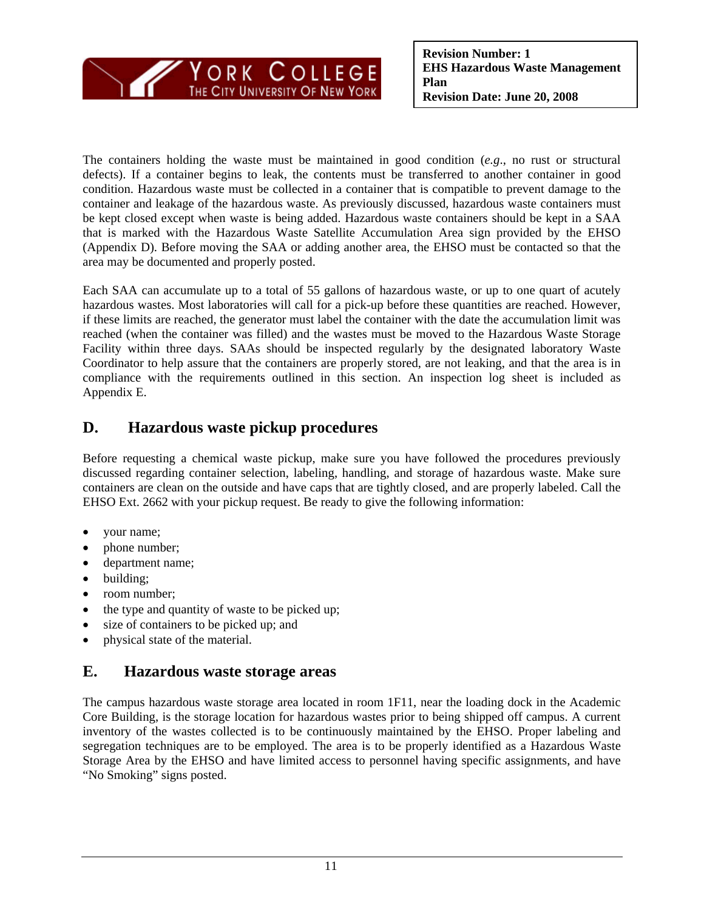

The containers holding the waste must be maintained in good condition (*e.g*., no rust or structural defects). If a container begins to leak, the contents must be transferred to another container in good condition. Hazardous waste must be collected in a container that is compatible to prevent damage to the container and leakage of the hazardous waste. As previously discussed, hazardous waste containers must be kept closed except when waste is being added. Hazardous waste containers should be kept in a SAA that is marked with the Hazardous Waste Satellite Accumulation Area sign provided by the EHSO (Appendix D). Before moving the SAA or adding another area, the EHSO must be contacted so that the area may be documented and properly posted.

Each SAA can accumulate up to a total of 55 gallons of hazardous waste, or up to one quart of acutely hazardous wastes. Most laboratories will call for a pick-up before these quantities are reached. However, if these limits are reached, the generator must label the container with the date the accumulation limit was reached (when the container was filled) and the wastes must be moved to the Hazardous Waste Storage Facility within three days. SAAs should be inspected regularly by the designated laboratory Waste Coordinator to help assure that the containers are properly stored, are not leaking, and that the area is in compliance with the requirements outlined in this section. An inspection log sheet is included as Appendix E.

## **D. Hazardous waste pickup procedures**

Before requesting a chemical waste pickup, make sure you have followed the procedures previously discussed regarding container selection, labeling, handling, and storage of hazardous waste. Make sure containers are clean on the outside and have caps that are tightly closed, and are properly labeled. Call the EHSO Ext. 2662 with your pickup request. Be ready to give the following information:

- your name;
- phone number;
- department name;
- building;
- room number;
- the type and quantity of waste to be picked up;
- size of containers to be picked up; and
- physical state of the material.

## **E. Hazardous waste storage areas**

The campus hazardous waste storage area located in room 1F11, near the loading dock in the Academic Core Building, is the storage location for hazardous wastes prior to being shipped off campus. A current inventory of the wastes collected is to be continuously maintained by the EHSO. Proper labeling and segregation techniques are to be employed. The area is to be properly identified as a Hazardous Waste Storage Area by the EHSO and have limited access to personnel having specific assignments, and have "No Smoking" signs posted.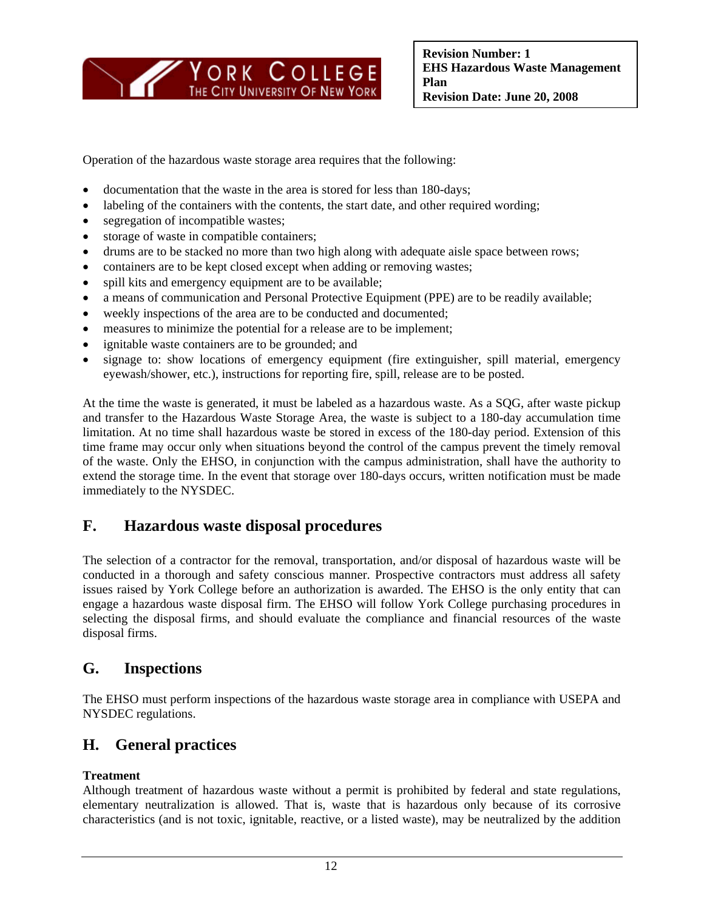

Operation of the hazardous waste storage area requires that the following:

- documentation that the waste in the area is stored for less than 180-days;
- labeling of the containers with the contents, the start date, and other required wording;
- segregation of incompatible wastes;
- storage of waste in compatible containers;
- drums are to be stacked no more than two high along with adequate aisle space between rows;
- containers are to be kept closed except when adding or removing wastes;
- spill kits and emergency equipment are to be available;
- a means of communication and Personal Protective Equipment (PPE) are to be readily available;
- weekly inspections of the area are to be conducted and documented;
- measures to minimize the potential for a release are to be implement;
- ignitable waste containers are to be grounded; and
- signage to: show locations of emergency equipment (fire extinguisher, spill material, emergency eyewash/shower, etc.), instructions for reporting fire, spill, release are to be posted.

At the time the waste is generated, it must be labeled as a hazardous waste. As a SQG, after waste pickup and transfer to the Hazardous Waste Storage Area, the waste is subject to a 180-day accumulation time limitation. At no time shall hazardous waste be stored in excess of the 180-day period. Extension of this time frame may occur only when situations beyond the control of the campus prevent the timely removal of the waste. Only the EHSO, in conjunction with the campus administration, shall have the authority to extend the storage time. In the event that storage over 180-days occurs, written notification must be made immediately to the NYSDEC.

### **F. Hazardous waste disposal procedures**

The selection of a contractor for the removal, transportation, and/or disposal of hazardous waste will be conducted in a thorough and safety conscious manner. Prospective contractors must address all safety issues raised by York College before an authorization is awarded. The EHSO is the only entity that can engage a hazardous waste disposal firm. The EHSO will follow York College purchasing procedures in selecting the disposal firms, and should evaluate the compliance and financial resources of the waste disposal firms.

### **G. Inspections**

The EHSO must perform inspections of the hazardous waste storage area in compliance with USEPA and NYSDEC regulations.

### **H. General practices**

#### **Treatment**

Although treatment of hazardous waste without a permit is prohibited by federal and state regulations, elementary neutralization is allowed. That is, waste that is hazardous only because of its corrosive characteristics (and is not toxic, ignitable, reactive, or a listed waste), may be neutralized by the addition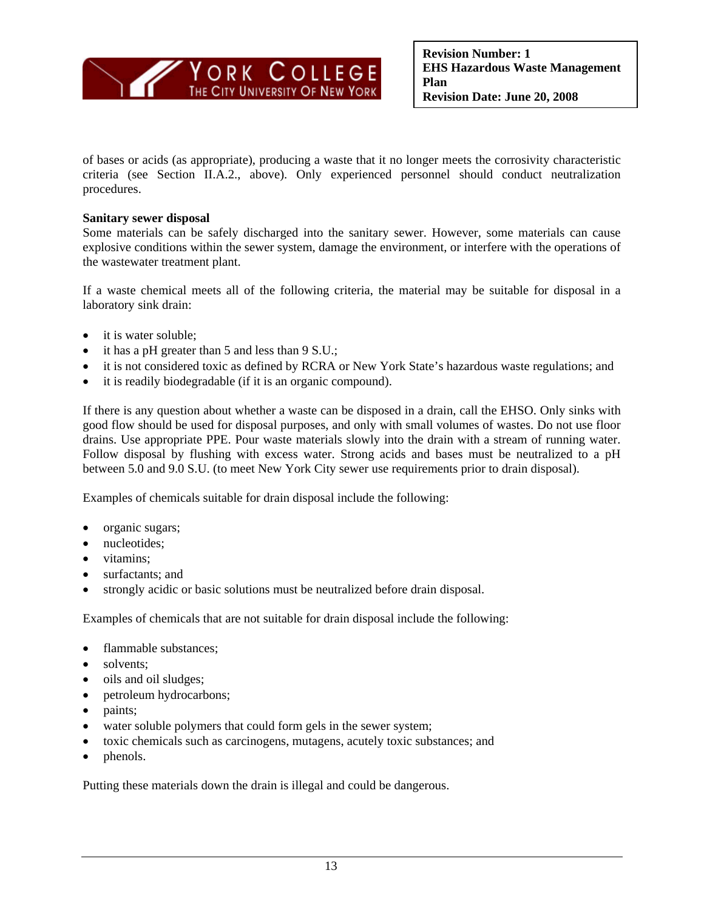

of bases or acids (as appropriate), producing a waste that it no longer meets the corrosivity characteristic criteria (see Section II.A.2., above). Only experienced personnel should conduct neutralization procedures.

#### **Sanitary sewer disposal**

Some materials can be safely discharged into the sanitary sewer. However, some materials can cause explosive conditions within the sewer system, damage the environment, or interfere with the operations of the wastewater treatment plant.

If a waste chemical meets all of the following criteria, the material may be suitable for disposal in a laboratory sink drain:

- it is water soluble;
- it has a pH greater than 5 and less than 9 S.U.;
- it is not considered toxic as defined by RCRA or New York State's hazardous waste regulations; and
- it is readily biodegradable (if it is an organic compound).

If there is any question about whether a waste can be disposed in a drain, call the EHSO. Only sinks with good flow should be used for disposal purposes, and only with small volumes of wastes. Do not use floor drains. Use appropriate PPE. Pour waste materials slowly into the drain with a stream of running water. Follow disposal by flushing with excess water. Strong acids and bases must be neutralized to a pH between 5.0 and 9.0 S.U. (to meet New York City sewer use requirements prior to drain disposal).

Examples of chemicals suitable for drain disposal include the following:

- organic sugars;
- nucleotides;
- vitamins:
- surfactants; and
- strongly acidic or basic solutions must be neutralized before drain disposal.

Examples of chemicals that are not suitable for drain disposal include the following:

- flammable substances;
- solvents:
- oils and oil sludges;
- petroleum hydrocarbons;
- paints;
- water soluble polymers that could form gels in the sewer system;
- toxic chemicals such as carcinogens, mutagens, acutely toxic substances; and
- phenols.

Putting these materials down the drain is illegal and could be dangerous.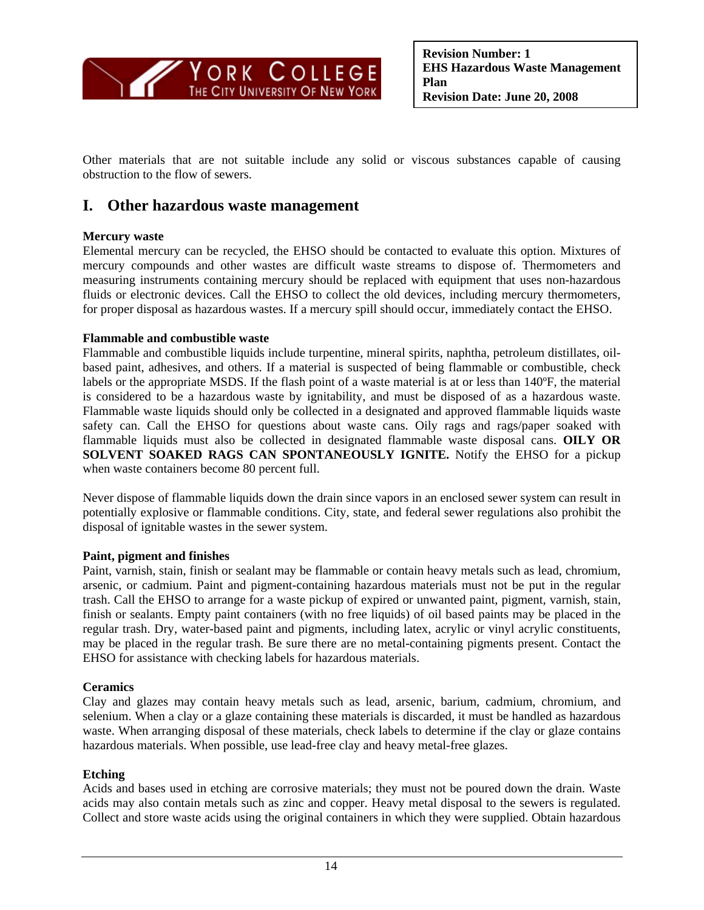

Other materials that are not suitable include any solid or viscous substances capable of causing obstruction to the flow of sewers.

### **I. Other hazardous waste management**

#### **Mercury waste**

Elemental mercury can be recycled, the EHSO should be contacted to evaluate this option. Mixtures of mercury compounds and other wastes are difficult waste streams to dispose of. Thermometers and measuring instruments containing mercury should be replaced with equipment that uses non-hazardous fluids or electronic devices. Call the EHSO to collect the old devices, including mercury thermometers, for proper disposal as hazardous wastes. If a mercury spill should occur, immediately contact the EHSO.

#### **Flammable and combustible waste**

Flammable and combustible liquids include turpentine, mineral spirits, naphtha, petroleum distillates, oilbased paint, adhesives, and others. If a material is suspected of being flammable or combustible, check labels or the appropriate MSDS. If the flash point of a waste material is at or less than 140ºF, the material is considered to be a hazardous waste by ignitability, and must be disposed of as a hazardous waste. Flammable waste liquids should only be collected in a designated and approved flammable liquids waste safety can. Call the EHSO for questions about waste cans. Oily rags and rags/paper soaked with flammable liquids must also be collected in designated flammable waste disposal cans. **OILY OR SOLVENT SOAKED RAGS CAN SPONTANEOUSLY IGNITE.** Notify the EHSO for a pickup when waste containers become 80 percent full.

Never dispose of flammable liquids down the drain since vapors in an enclosed sewer system can result in potentially explosive or flammable conditions. City, state, and federal sewer regulations also prohibit the disposal of ignitable wastes in the sewer system.

#### **Paint, pigment and finishes**

Paint, varnish, stain, finish or sealant may be flammable or contain heavy metals such as lead, chromium, arsenic, or cadmium. Paint and pigment-containing hazardous materials must not be put in the regular trash. Call the EHSO to arrange for a waste pickup of expired or unwanted paint, pigment, varnish, stain, finish or sealants. Empty paint containers (with no free liquids) of oil based paints may be placed in the regular trash. Dry, water-based paint and pigments, including latex, acrylic or vinyl acrylic constituents, may be placed in the regular trash. Be sure there are no metal-containing pigments present. Contact the EHSO for assistance with checking labels for hazardous materials.

#### **Ceramics**

Clay and glazes may contain heavy metals such as lead, arsenic, barium, cadmium, chromium, and selenium. When a clay or a glaze containing these materials is discarded, it must be handled as hazardous waste. When arranging disposal of these materials, check labels to determine if the clay or glaze contains hazardous materials. When possible, use lead-free clay and heavy metal-free glazes.

#### **Etching**

Acids and bases used in etching are corrosive materials; they must not be poured down the drain. Waste acids may also contain metals such as zinc and copper. Heavy metal disposal to the sewers is regulated. Collect and store waste acids using the original containers in which they were supplied. Obtain hazardous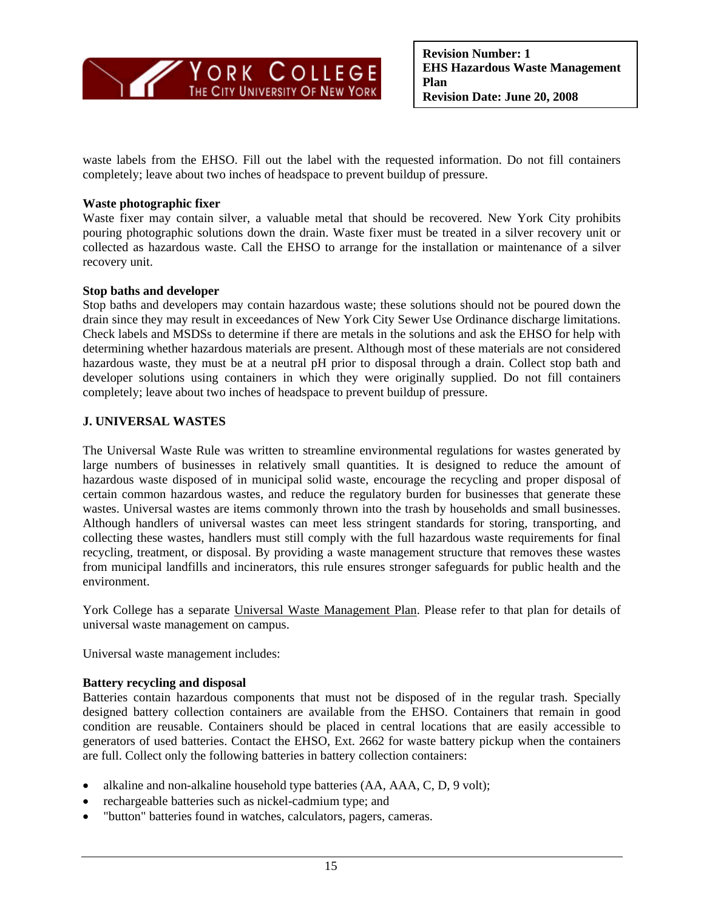

waste labels from the EHSO. Fill out the label with the requested information. Do not fill containers completely; leave about two inches of headspace to prevent buildup of pressure.

#### **Waste photographic fixer**

 recovery unit. Waste fixer may contain silver, a valuable metal that should be recovered. New York City prohibits pouring photographic solutions down the drain. Waste fixer must be treated in a silver recovery unit or collected as hazardous waste. Call the EHSO to arrange for the installation or maintenance of a silver

#### **Stop baths and developer**

Stop baths and developers may contain hazardous waste; these solutions should not be poured down the drain since they may result in exceedances of New York City Sewer Use Ordinance discharge limitations. Check labels and MSDSs to determine if there are metals in the solutions and ask the EHSO for help with determining whether hazardous materials are present. Although most of these materials are not considered hazardous waste, they must be at a neutral pH prior to disposal through a drain. Collect stop bath and developer solutions using containers in which they were originally supplied. Do not fill containers completely; leave about two inches of headspace to prevent buildup of pressure.

#### **J. UNIVERSAL WASTES**

The Universal Waste Rule was written to streamline environmental regulations for wastes generated by large numbers of businesses in relatively small quantities. It is designed to reduce the amount of hazardous waste disposed of in municipal solid waste, encourage the recycling and proper disposal of certain common hazardous wastes, and reduce the regulatory burden for businesses that generate these wastes. Universal wastes are items commonly thrown into the trash by households and small businesses. Although handlers of universal wastes can meet less stringent standards for storing, transporting, and collecting these wastes, handlers must still comply with the full hazardous waste requirements for final recycling, treatment, or disposal. By providing a waste management structure that removes these wastes from municipal landfills and incinerators, this rule ensures stronger safeguards for public health and the environment.

York College has a separate Universal Waste Management Plan. Please refer to that plan for details of universal waste management on campus.

Universal waste management includes:

#### **Battery recycling and disposal**

Batteries contain hazardous components that must not be disposed of in the regular trash. Specially designed battery collection containers are available from the EHSO. Containers that remain in good condition are reusable. Containers should be placed in central locations that are easily accessible to generators of used batteries. Contact the EHSO, Ext. 2662 for waste battery pickup when the containers are full. Collect only the following batteries in battery collection containers:

- alkaline and non-alkaline household type batteries (AA, AAA, C, D, 9 volt);
- rechargeable batteries such as nickel-cadmium type; and
- "button" batteries found in watches, calculators, pagers, cameras.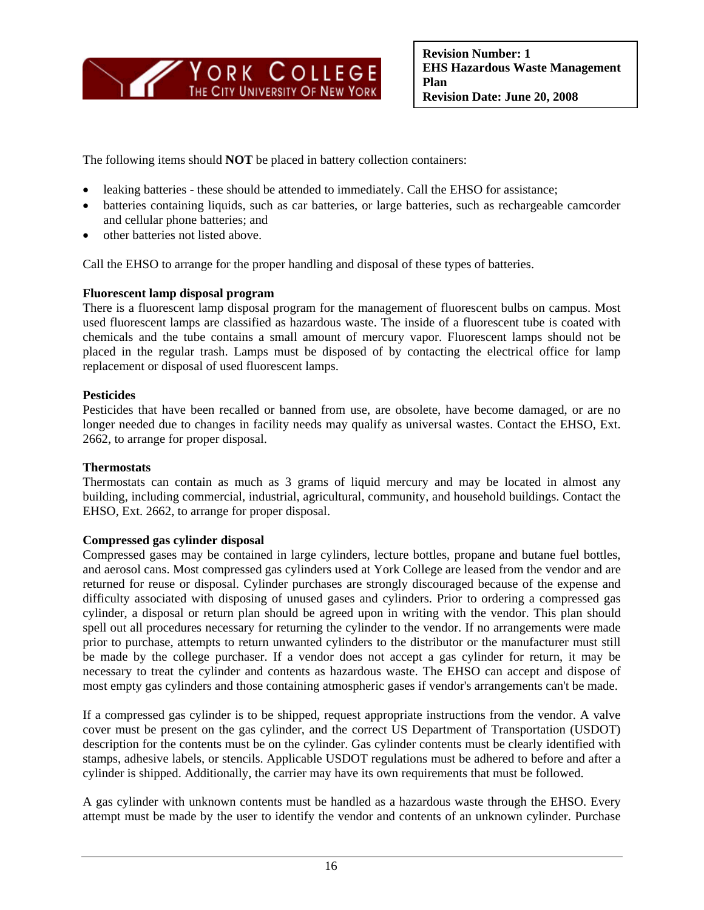

The following items should **NOT** be placed in battery collection containers:

- leaking batteries these should be attended to immediately. Call the EHSO for assistance;
- batteries containing liquids, such as car batteries, or large batteries, such as rechargeable camcorder and cellular phone batteries; and
- other batteries not listed above.

Call the EHSO to arrange for the proper handling and disposal of these types of batteries.

#### **Fluorescent lamp disposal program**

There is a fluorescent lamp disposal program for the management of fluorescent bulbs on campus. Most used fluorescent lamps are classified as hazardous waste. The inside of a fluorescent tube is coated with chemicals and the tube contains a small amount of mercury vapor. Fluorescent lamps should not be placed in the regular trash. Lamps must be disposed of by contacting the electrical office for lamp replacement or disposal of used fluorescent lamps.

#### **Pesticides**

Pesticides that have been recalled or banned from use, are obsolete, have become damaged, or are no longer needed due to changes in facility needs may qualify as universal wastes. Contact the EHSO, Ext. 2662, to arrange for proper disposal.

#### **Thermostats**

Thermostats can contain as much as 3 grams of liquid mercury and may be located in almost any building, including commercial, industrial, agricultural, community, and household buildings. Contact the EHSO, Ext. 2662, to arrange for proper disposal.

#### **Compressed gas cylinder disposal**

Compressed gases may be contained in large cylinders, lecture bottles, propane and butane fuel bottles, and aerosol cans. Most compressed gas cylinders used at York College are leased from the vendor and are returned for reuse or disposal. Cylinder purchases are strongly discouraged because of the expense and difficulty associated with disposing of unused gases and cylinders. Prior to ordering a compressed gas cylinder, a disposal or return plan should be agreed upon in writing with the vendor. This plan should spell out all procedures necessary for returning the cylinder to the vendor. If no arrangements were made prior to purchase, attempts to return unwanted cylinders to the distributor or the manufacturer must still be made by the college purchaser. If a vendor does not accept a gas cylinder for return, it may be necessary to treat the cylinder and contents as hazardous waste. The EHSO can accept and dispose of most empty gas cylinders and those containing atmospheric gases if vendor's arrangements can't be made.

If a compressed gas cylinder is to be shipped, request appropriate instructions from the vendor. A valve cover must be present on the gas cylinder, and the correct US Department of Transportation (USDOT) description for the contents must be on the cylinder. Gas cylinder contents must be clearly identified with stamps, adhesive labels, or stencils. Applicable USDOT regulations must be adhered to before and after a cylinder is shipped. Additionally, the carrier may have its own requirements that must be followed.

A gas cylinder with unknown contents must be handled as a hazardous waste through the EHSO. Every attempt must be made by the user to identify the vendor and contents of an unknown cylinder. Purchase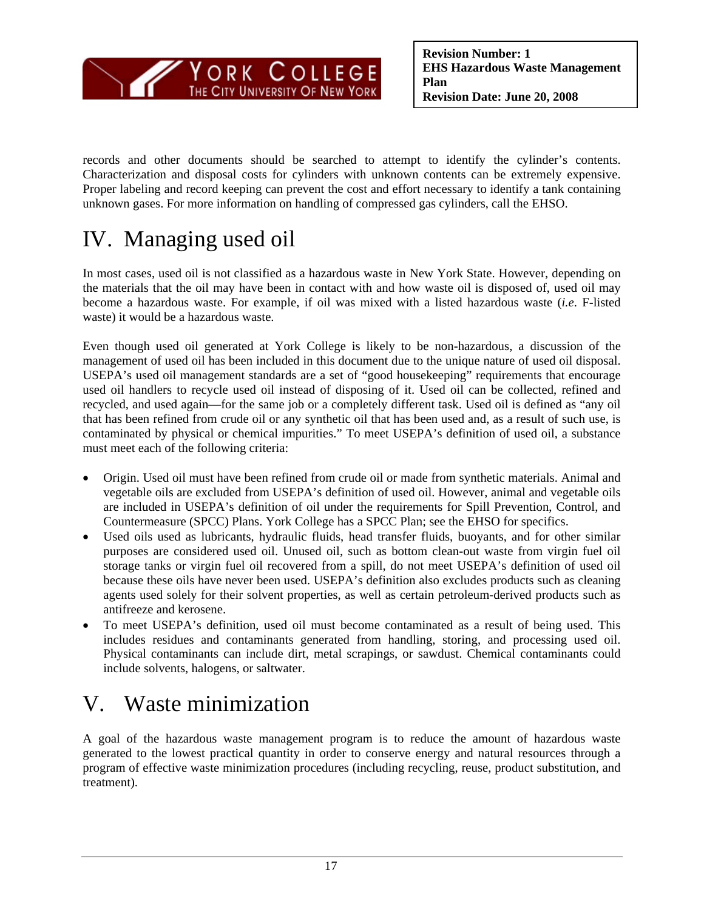

records and other documents should be searched to attempt to identify the cylinder's contents. Characterization and disposal costs for cylinders with unknown contents can be extremely expensive. Proper labeling and record keeping can prevent the cost and effort necessary to identify a tank containing unknown gases. For more information on handling of compressed gas cylinders, call the EHSO.

## IV. Managing used oil

In most cases, used oil is not classified as a hazardous waste in New York State. However, depending on the materials that the oil may have been in contact with and how waste oil is disposed of, used oil may become a hazardous waste. For example, if oil was mixed with a listed hazardous waste (*i.e*. F-listed waste) it would be a hazardous waste.

 Even though used oil generated at York College is likely to be non-hazardous, a discussion of the management of used oil has been included in this document due to the unique nature of used oil disposal. USEPA's used oil management standards are a set of "good housekeeping" requirements that encourage used oil handlers to recycle used oil instead of disposing of it. Used oil can be collected, refined and recycled, and used again—for the same job or a completely different task. Used oil is defined as "any oil that has been refined from crude oil or any synthetic oil that has been used and, as a result of such use, is contaminated by physical or chemical impurities." To meet USEPA's definition of used oil, a substance must meet each of the following criteria:

- Origin. Used oil must have been refined from crude oil or made from synthetic materials. Animal and vegetable oils are excluded from USEPA's definition of used oil. However, animal and vegetable oils are included in USEPA's definition of oil under the requirements for Spill Prevention, Control, and Countermeasure (SPCC) Plans. York College has a SPCC Plan; see the EHSO for specifics.
- Used oils used as lubricants, hydraulic fluids, head transfer fluids, buoyants, and for other similar purposes are considered used oil. Unused oil, such as bottom clean-out waste from virgin fuel oil storage tanks or virgin fuel oil recovered from a spill, do not meet USEPA's definition of used oil because these oils have never been used. USEPA's definition also excludes products such as cleaning agents used solely for their solvent properties, as well as certain petroleum-derived products such as antifreeze and kerosene.
- To meet USEPA's definition, used oil must become contaminated as a result of being used. This includes residues and contaminants generated from handling, storing, and processing used oil. Physical contaminants can include dirt, metal scrapings, or sawdust. Chemical contaminants could include solvents, halogens, or saltwater.

## V. Waste minimization

A goal of the hazardous waste management program is to reduce the amount of hazardous waste generated to the lowest practical quantity in order to conserve energy and natural resources through a program of effective waste minimization procedures (including recycling, reuse, product substitution, and treatment).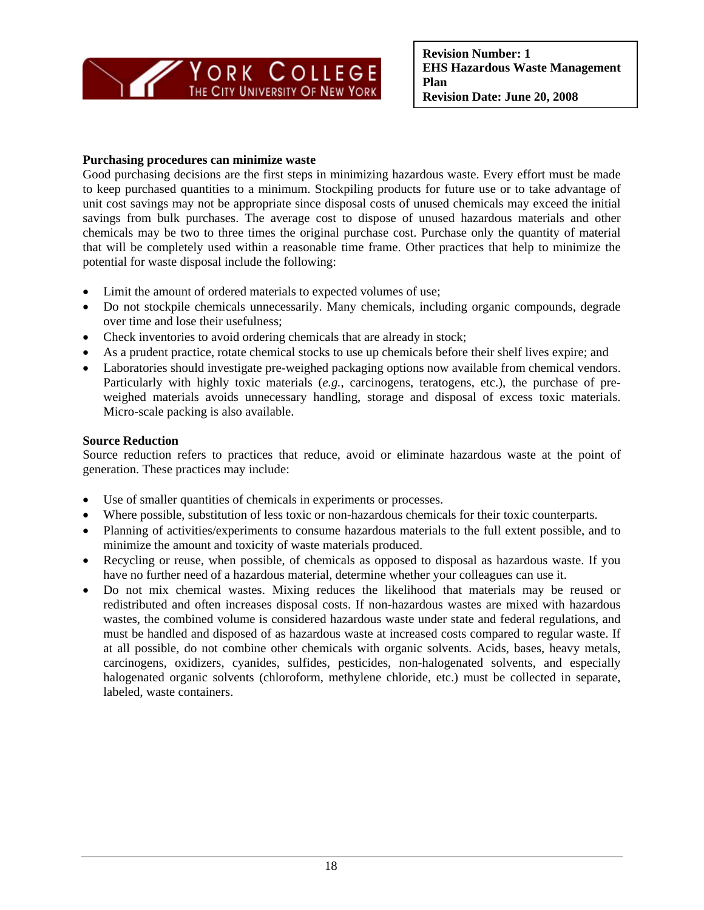

#### **Purchasing procedures can minimize waste**

Good purchasing decisions are the first steps in minimizing hazardous waste. Every effort must be made to keep purchased quantities to a minimum. Stockpiling products for future use or to take advantage of unit cost savings may not be appropriate since disposal costs of unused chemicals may exceed the initial savings from bulk purchases. The average cost to dispose of unused hazardous materials and other chemicals may be two to three times the original purchase cost. Purchase only the quantity of material that will be completely used within a reasonable time frame. Other practices that help to minimize the potential for waste disposal include the following:

- Limit the amount of ordered materials to expected volumes of use;
- Do not stockpile chemicals unnecessarily. Many chemicals, including organic compounds, degrade over time and lose their usefulness;
- Check inventories to avoid ordering chemicals that are already in stock;
- As a prudent practice, rotate chemical stocks to use up chemicals before their shelf lives expire; and
- Laboratories should investigate pre-weighed packaging options now available from chemical vendors. Particularly with highly toxic materials (*e.g.*, carcinogens, teratogens, etc.), the purchase of preweighed materials avoids unnecessary handling, storage and disposal of excess toxic materials. Micro-scale packing is also available.

#### **Source Reduction**

Source reduction refers to practices that reduce, avoid or eliminate hazardous waste at the point of generation. These practices may include:

- Use of smaller quantities of chemicals in experiments or processes.
- Where possible, substitution of less toxic or non-hazardous chemicals for their toxic counterparts.
- Planning of activities/experiments to consume hazardous materials to the full extent possible, and to minimize the amount and toxicity of waste materials produced.
- Recycling or reuse, when possible, of chemicals as opposed to disposal as hazardous waste. If you have no further need of a hazardous material, determine whether your colleagues can use it.
- Do not mix chemical wastes. Mixing reduces the likelihood that materials may be reused or redistributed and often increases disposal costs. If non-hazardous wastes are mixed with hazardous wastes, the combined volume is considered hazardous waste under state and federal regulations, and must be handled and disposed of as hazardous waste at increased costs compared to regular waste. If at all possible, do not combine other chemicals with organic solvents. Acids, bases, heavy metals, carcinogens, oxidizers, cyanides, sulfides, pesticides, non-halogenated solvents, and especially halogenated organic solvents (chloroform, methylene chloride, etc.) must be collected in separate, labeled, waste containers.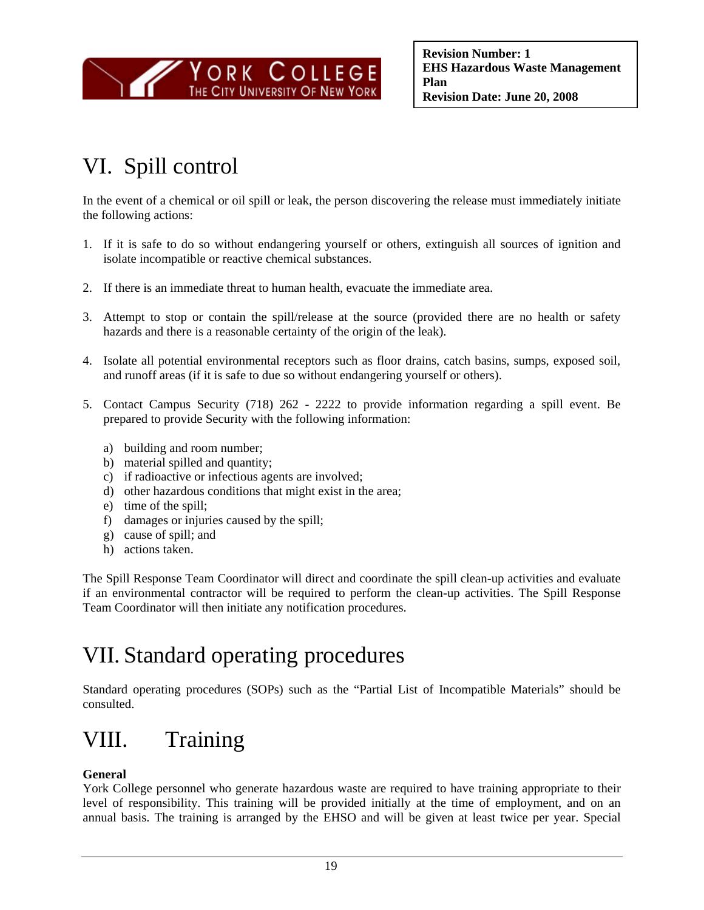

# VI. Spill control

In the event of a chemical or oil spill or leak, the person discovering the release must immediately initiate the following actions:

- 1. If it is safe to do so without endangering yourself or others, extinguish all sources of ignition and isolate incompatible or reactive chemical substances.
- 2. If there is an immediate threat to human health, evacuate the immediate area.
- 3. Attempt to stop or contain the spill/release at the source (provided there are no health or safety hazards and there is a reasonable certainty of the origin of the leak).
- 4. Isolate all potential environmental receptors such as floor drains, catch basins, sumps, exposed soil, and runoff areas (if it is safe to due so without endangering yourself or others).
- 5. Contact Campus Security (718) 262 2222 to provide information regarding a spill event. Be prepared to provide Security with the following information:
	- a) building and room number;
	- b) material spilled and quantity;
	- c) if radioactive or infectious agents are involved;
	- d) other hazardous conditions that might exist in the area;
	- e) time of the spill;
	- f) damages or injuries caused by the spill;
	- g) cause of spill; and
	- h) actions taken.

The Spill Response Team Coordinator will direct and coordinate the spill clean-up activities and evaluate if an environmental contractor will be required to perform the clean-up activities. The Spill Response Team Coordinator will then initiate any notification procedures.

## VII. Standard operating procedures

Standard operating procedures (SOPs) such as the "Partial List of Incompatible Materials" should be consulted.

# VIII. Training

### **General**

York College personnel who generate hazardous waste are required to have training appropriate to their level of responsibility. This training will be provided initially at the time of employment, and on an annual basis. The training is arranged by the EHSO and will be given at least twice per year. Special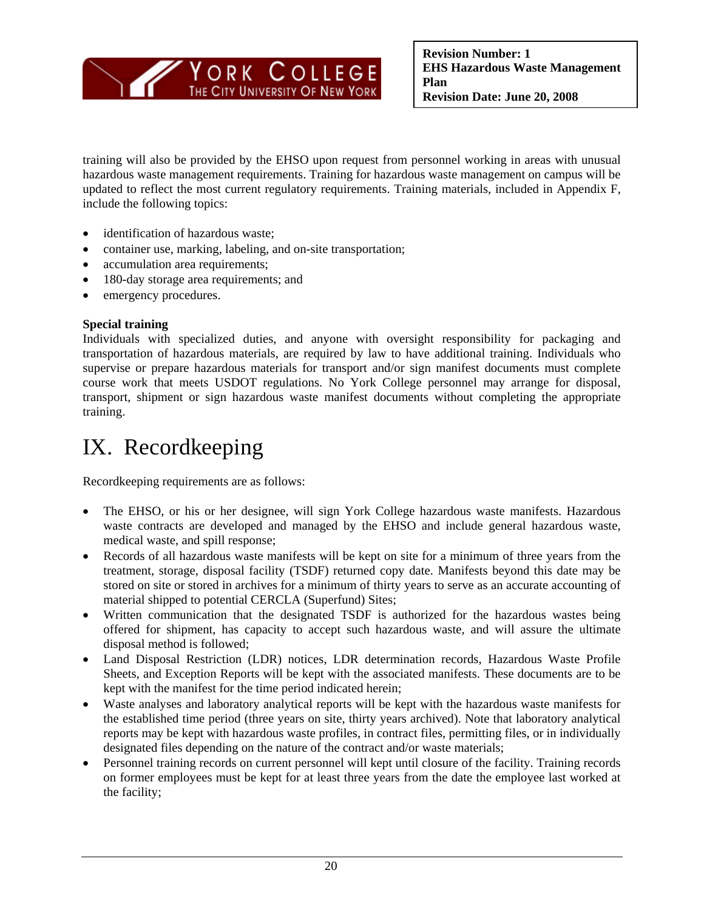

training will also be provided by the EHSO upon request from personnel working in areas with unusual hazardous waste management requirements. Training for hazardous waste management on campus will be updated to reflect the most current regulatory requirements. Training materials, included in Appendix F, include the following topics:

- identification of hazardous waste;
- container use, marking, labeling, and on-site transportation;
- accumulation area requirements;
- 180-day storage area requirements; and
- emergency procedures.

#### **Special training**

Individuals with specialized duties, and anyone with oversight responsibility for packaging and transportation of hazardous materials, are required by law to have additional training. Individuals who supervise or prepare hazardous materials for transport and/or sign manifest documents must complete course work that meets USDOT regulations. No York College personnel may arrange for disposal, transport, shipment or sign hazardous waste manifest documents without completing the appropriate training.

## IX. Recordkeeping

Recordkeeping requirements are as follows:

- The EHSO, or his or her designee, will sign York College hazardous waste manifests. Hazardous waste contracts are developed and managed by the EHSO and include general hazardous waste, medical waste, and spill response;
- Records of all hazardous waste manifests will be kept on site for a minimum of three years from the treatment, storage, disposal facility (TSDF) returned copy date. Manifests beyond this date may be stored on site or stored in archives for a minimum of thirty years to serve as an accurate accounting of material shipped to potential CERCLA (Superfund) Sites;
- Written communication that the designated TSDF is authorized for the hazardous wastes being offered for shipment, has capacity to accept such hazardous waste, and will assure the ultimate disposal method is followed;
- Land Disposal Restriction (LDR) notices, LDR determination records, Hazardous Waste Profile Sheets, and Exception Reports will be kept with the associated manifests. These documents are to be kept with the manifest for the time period indicated herein;
- Waste analyses and laboratory analytical reports will be kept with the hazardous waste manifests for the established time period (three years on site, thirty years archived). Note that laboratory analytical reports may be kept with hazardous waste profiles, in contract files, permitting files, or in individually designated files depending on the nature of the contract and/or waste materials;
- Personnel training records on current personnel will kept until closure of the facility. Training records on former employees must be kept for at least three years from the date the employee last worked at the facility;